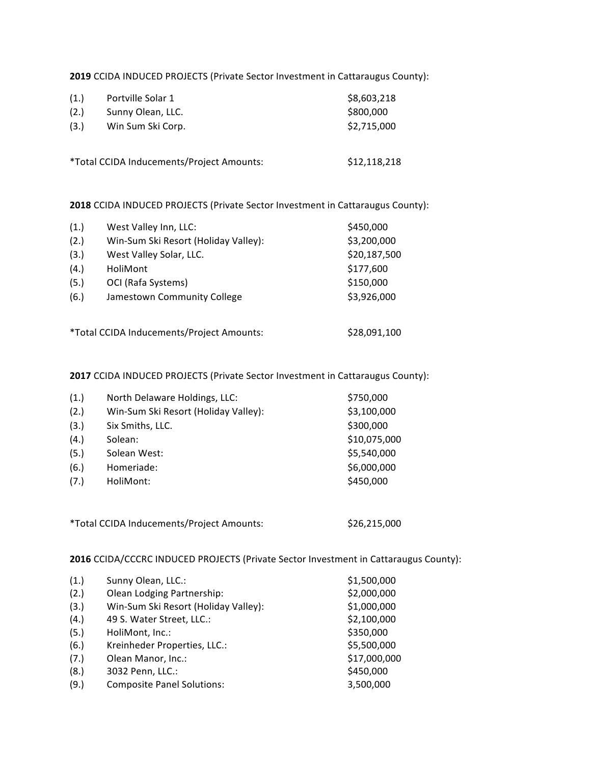**2019** CCIDA INDUCED PROJECTS (Private Sector Investment in Cattaraugus County):

| (1.) | Portville Solar 1 | \$8,603,218 |
|------|-------------------|-------------|
| (2.) | Sunny Olean, LLC. | \$800,000   |
| (3.) | Win Sum Ski Corp. | \$2,715,000 |
|      |                   |             |

\*Total CCIDA Inducements/Project Amounts: \$12,118,218

**2018** CCIDA INDUCED PROJECTS (Private Sector Investment in Cattaraugus County):

| (1.) | West Valley Inn, LLC:                     | \$450,000    |
|------|-------------------------------------------|--------------|
| (2.) | Win-Sum Ski Resort (Holiday Valley):      | \$3,200,000  |
| (3.) | West Valley Solar, LLC.                   | \$20,187,500 |
| (4.) | HoliMont                                  | \$177,600    |
| (5.) | OCI (Rafa Systems)                        | \$150,000    |
| (6.) | Jamestown Community College               | \$3,926,000  |
|      | *Total CCIDA Inducements/Project Amounts: | \$28,091,100 |

**2017** CCIDA INDUCED PROJECTS (Private Sector Investment in Cattaraugus County):

| (1.) | North Delaware Holdings, LLC:        | \$750,000    |
|------|--------------------------------------|--------------|
| (2.) | Win-Sum Ski Resort (Holiday Valley): | \$3,100,000  |
| (3.) | Six Smiths, LLC.                     | \$300,000    |
| (4.) | Solean:                              | \$10,075,000 |
| (5.) | Solean West:                         | \$5,540,000  |
| (6.) | Homeriade:                           | \$6,000,000  |
| (7.) | HoliMont:                            | \$450,000    |
|      |                                      |              |

\*Total CCIDA Inducements/Project Amounts: \$26,215,000

**2016** CCIDA/CCCRC INDUCED PROJECTS (Private Sector Investment in Cattaraugus County):

| (1.) | Sunny Olean, LLC.:                   | \$1,500,000  |
|------|--------------------------------------|--------------|
| (2.) | Olean Lodging Partnership:           | \$2,000,000  |
| (3.) | Win-Sum Ski Resort (Holiday Valley): | \$1,000,000  |
| (4.) | 49 S. Water Street, LLC.:            | \$2,100,000  |
| (5.) | HoliMont, Inc.:                      | \$350,000    |
| (6.) | Kreinheder Properties, LLC.:         | \$5,500,000  |
| (7.) | Olean Manor, Inc.:                   | \$17,000,000 |
| (8.) | 3032 Penn, LLC.:                     | \$450,000    |
| (9.) | <b>Composite Panel Solutions:</b>    | 3,500,000    |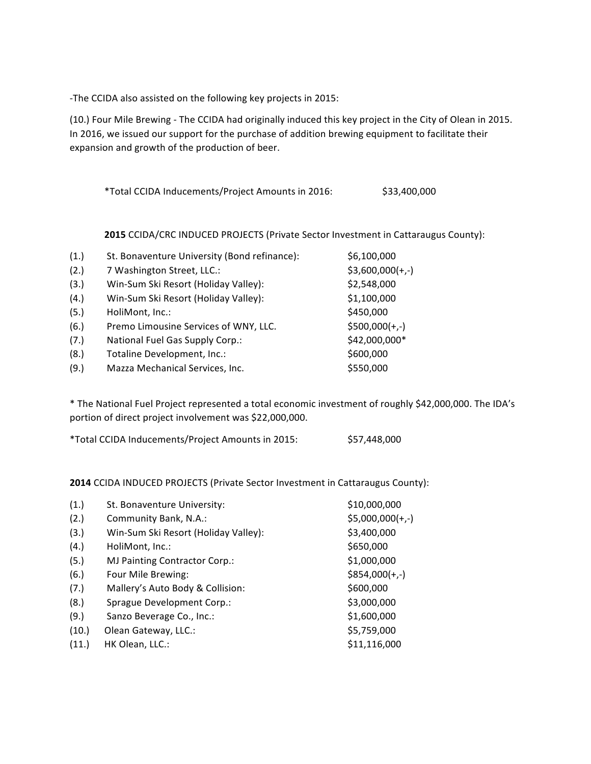-The CCIDA also assisted on the following key projects in 2015:

(10.) Four Mile Brewing - The CCIDA had originally induced this key project in the City of Olean in 2015. In 2016, we issued our support for the purchase of addition brewing equipment to facilitate their expansion and growth of the production of beer.

|  |  | *Total CCIDA Inducements/Project Amounts in 2016: | \$33,400,000 |
|--|--|---------------------------------------------------|--------------|
|--|--|---------------------------------------------------|--------------|

**2015** CCIDA/CRC INDUCED PROJECTS (Private Sector Investment in Cattaraugus County):

| (1.) | St. Bonaventure University (Bond refinance): | \$6,100,000       |
|------|----------------------------------------------|-------------------|
| (2.) | 7 Washington Street, LLC.:                   | $$3,600,000(+,-)$ |
| (3.) | Win-Sum Ski Resort (Holiday Valley):         | \$2,548,000       |
| (4.) | Win-Sum Ski Resort (Holiday Valley):         | \$1,100,000       |
| (5.) | HoliMont, Inc.:                              | \$450,000         |
| (6.) | Premo Limousine Services of WNY, LLC.        | $$500,000(+,-)$   |
| (7.) | National Fuel Gas Supply Corp.:              | \$42,000,000*     |
| (8.) | Totaline Development, Inc.:                  | \$600,000         |
| (9.) | Mazza Mechanical Services, Inc.              | \$550,000         |

\* The National Fuel Project represented a total economic investment of roughly \$42,000,000. The IDA's portion of direct project involvement was \$22,000,000.

\*Total CCIDA Inducements/Project Amounts in 2015: \$57,448,000

**2014** CCIDA INDUCED PROJECTS (Private Sector Investment in Cattaraugus County):

| (1.)  | St. Bonaventure University:          | \$10,000,000      |
|-------|--------------------------------------|-------------------|
| (2.)  | Community Bank, N.A.:                | $$5,000,000(+,-)$ |
| (3.)  | Win-Sum Ski Resort (Holiday Valley): | \$3,400,000       |
| (4.)  | HoliMont, Inc.:                      | \$650,000         |
| (5.)  | <b>MJ Painting Contractor Corp.:</b> | \$1,000,000       |
| (6.)  | Four Mile Brewing:                   | $$854,000(+,-)$   |
| (7.)  | Mallery's Auto Body & Collision:     | \$600,000         |
| (8.)  | Sprague Development Corp.:           | \$3,000,000       |
| (9.)  | Sanzo Beverage Co., Inc.:            | \$1,600,000       |
| (10.) | Olean Gateway, LLC.:                 | \$5,759,000       |
| (11.) | HK Olean, LLC.:                      | \$11,116,000      |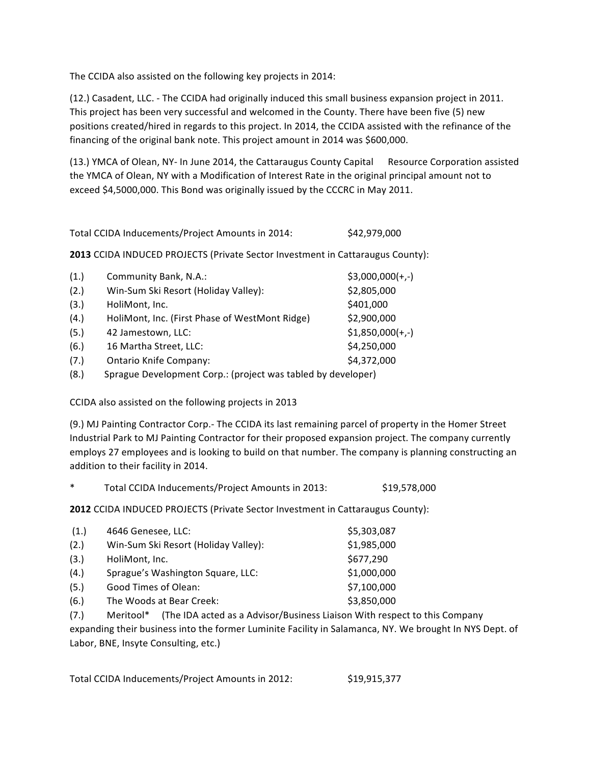The CCIDA also assisted on the following key projects in 2014:

(12.) Casadent, LLC. - The CCIDA had originally induced this small business expansion project in 2011. This project has been very successful and welcomed in the County. There have been five (5) new positions created/hired in regards to this project. In 2014, the CCIDA assisted with the refinance of the financing of the original bank note. This project amount in 2014 was \$600,000.

(13.) YMCA of Olean, NY- In June 2014, the Cattaraugus County Capital Resource Corporation assisted the YMCA of Olean, NY with a Modification of Interest Rate in the original principal amount not to exceed \$4,5000,000. This Bond was originally issued by the CCCRC in May 2011.

Total CCIDA Inducements/Project Amounts in 2014: \$42,979,000

**2013** CCIDA INDUCED PROJECTS (Private Sector Investment in Cattaraugus County):

| (1.)       | Community Bank, N.A.:                                                 | $$3,000,000(+,-)$ |
|------------|-----------------------------------------------------------------------|-------------------|
| (2.)       | Win-Sum Ski Resort (Holiday Valley):                                  | \$2,805,000       |
| (3.)       | HoliMont, Inc.                                                        | \$401,000         |
| (4.)       | HoliMont, Inc. (First Phase of WestMont Ridge)                        | \$2,900,000       |
| (5.)       | 42 Jamestown, LLC:                                                    | $$1,850,000(+,-)$ |
| (6.)       | 16 Martha Street, LLC:                                                | \$4,250,000       |
| (7.)       | <b>Ontario Knife Company:</b>                                         | \$4,372,000       |
| $\sqrt{2}$ | Canada - Barrelando en LOs marchantes (marchalaletta del calendario). |                   |

(8.) Sprague Development Corp.: (project was tabled by developer)

CCIDA also assisted on the following projects in 2013

(9.) MJ Painting Contractor Corp.- The CCIDA its last remaining parcel of property in the Homer Street Industrial Park to MJ Painting Contractor for their proposed expansion project. The company currently employs 27 employees and is looking to build on that number. The company is planning constructing an addition to their facility in 2014.

Total CCIDA Inducements/Project Amounts in 2013: \$19,578,000

**2012** CCIDA INDUCED PROJECTS (Private Sector Investment in Cattaraugus County):

| (1.) | 4646 Genesee, LLC:                   | \$5,303,087 |
|------|--------------------------------------|-------------|
| (2.) | Win-Sum Ski Resort (Holiday Valley): | \$1,985,000 |
| (3.) | HoliMont, Inc.                       | \$677,290   |
| (4.) | Sprague's Washington Square, LLC:    | \$1,000,000 |
| (5.) | Good Times of Olean:                 | \$7,100,000 |
| (6.) | The Woods at Bear Creek:             | \$3,850,000 |

(7.) Meritool\* (The IDA acted as a Advisor/Business Liaison With respect to this Company expanding their business into the former Luminite Facility in Salamanca, NY. We brought In NYS Dept. of Labor, BNE, Insyte Consulting, etc.)

Total CCIDA Inducements/Project Amounts in 2012: \$19,915,377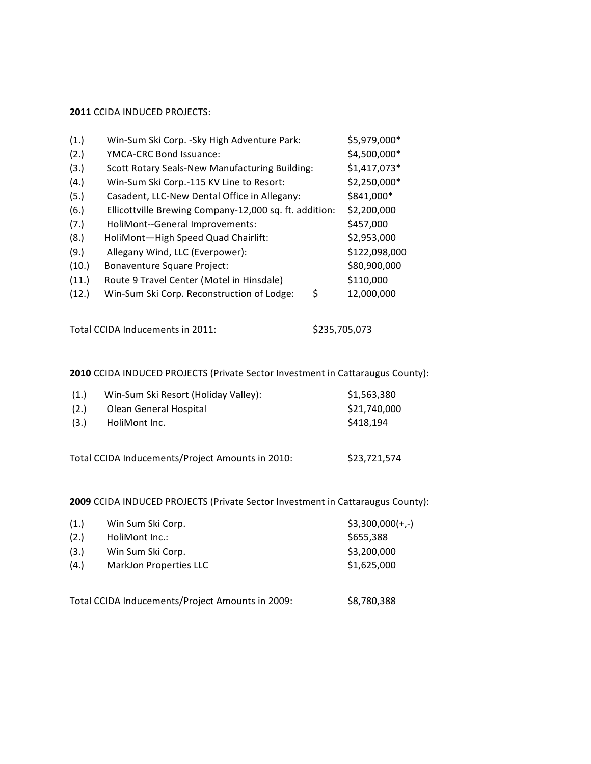## **2011 CCIDA INDUCED PROJECTS:**

| (1.)  | Win-Sum Ski Corp. - Sky High Adventure Park:           | \$5,979,000*  |
|-------|--------------------------------------------------------|---------------|
| (2.)  | YMCA-CRC Bond Issuance:                                | \$4,500,000*  |
| (3.)  | <b>Scott Rotary Seals-New Manufacturing Building:</b>  | $$1,417,073*$ |
| (4.)  | Win-Sum Ski Corp.-115 KV Line to Resort:               | \$2,250,000*  |
| (5.)  | Casadent, LLC-New Dental Office in Allegany:           | \$841,000*    |
| (6.)  | Ellicottville Brewing Company-12,000 sq. ft. addition: | \$2,200,000   |
| (7.)  | HoliMont--General Improvements:                        | \$457,000     |
| (8.)  | HoliMont-High Speed Quad Chairlift:                    | \$2,953,000   |
| (9.)  | Allegany Wind, LLC (Everpower):                        | \$122,098,000 |
| (10.) | <b>Bonaventure Square Project:</b>                     | \$80,900,000  |
| (11.) | Route 9 Travel Center (Motel in Hinsdale)              | \$110,000     |
| (12.) | Win-Sum Ski Corp. Reconstruction of Lodge:<br>\$       | 12,000,000    |

```
Total CCIDA Inducements in 2011: $235,705,073
```
## **2010** CCIDA INDUCED PROJECTS (Private Sector Investment in Cattaraugus County):

| (1.) | Win-Sum Ski Resort (Holiday Valley):             | \$1,563,380  |
|------|--------------------------------------------------|--------------|
| (2.) | Olean General Hospital                           | \$21,740,000 |
| (3.) | HoliMont Inc.                                    | \$418,194    |
|      |                                                  |              |
|      | Total CCIDA Inducements/Project Amounts in 2010: | \$23,721,574 |

**2009** CCIDA INDUCED PROJECTS (Private Sector Investment in Cattaraugus County):

| (1.) | Win Sum Ski Corp.      | $$3,300,000(+,-)$ |
|------|------------------------|-------------------|
| (2.) | HoliMont Inc.:         | \$655,388         |
| (3.) | Win Sum Ski Corp.      | \$3,200,000       |
| (4.) | MarkJon Properties LLC | \$1,625,000       |
|      |                        |                   |

Total CCIDA Inducements/Project Amounts in 2009: \$8,780,388